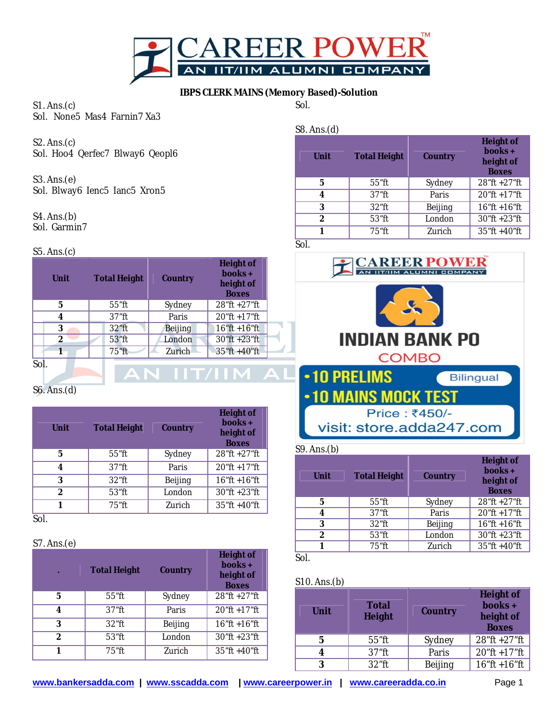

# **IBPS CLERK MAINS (Memory Based)-Solution**

Sol.

S8. Ans.(d)

S1. Ans.(c) Sol. None5 Mas4 Farnin7 Xa3

S2. Ans.(c) Sol. Hoo4 Qerfec7 Blway6 Qeopl6

S3. Ans.(e) Sol. Blway6 Ienc5 Ianc5 Xron5

S4. Ans.(b) Sol. Garmin7

### S5. Ans.(c)

| Unit | <b>Total Height</b> | Country | Height of<br>books+<br>height of<br><b>Boxes</b> |
|------|---------------------|---------|--------------------------------------------------|
| 5    | 55"ft               | Sydney  | 28"ft +27"ft                                     |
|      | $37$ "ft            | Paris   | 20"ft +17"ft                                     |
| 3    | 32"ft               | Beijing | $16"$ ft +16"ft                                  |
| 2    | 53"ft               | London  | 30"ft +23"ft                                     |
|      | 75"ft               | Zurich  | 35"ft +40"ft                                     |
| Sol. |                     |         |                                                  |

S6. Ans.(d)

| Unit | <b>Total Height</b> | Country | Height of<br>$books +$<br>height of<br><b>Boxes</b> |
|------|---------------------|---------|-----------------------------------------------------|
| 5    | 55"ft               | Sydney  | 28"ft +27"ft                                        |
| 4    | $37$ "ft            | Paris   | $20$ "ft +17"ft                                     |
| 3    | $32$ "ft            | Beijing | $16"$ ft +16"ft                                     |
| 2    | $53$ "ft            | London  | $30$ "ft +23"ft                                     |
|      | 75"ft               | Zurich  | $35$ "ft +40"ft                                     |

Sol.

### S7. Ans.(e)

| ×             | <b>Total Height</b><br>Country |         | Height of<br>books+<br>height of<br><b>Boxes</b> |
|---------------|--------------------------------|---------|--------------------------------------------------|
| 5             | $55$ "ft                       | Sydney  | $28$ "ft +27"ft                                  |
| 4             | $37$ "ft                       | Paris   | $20$ "ft +17"ft                                  |
| 3             | $32$ "ft                       | Beijing | $16$ "ft +16"ft                                  |
| $\mathcal{P}$ | $53$ "ft                       | London  | $30$ "ft +23"ft                                  |
|               | 75"ft                          | Zurich  | $35$ "ft +40"ft                                  |

| .             |                     |         |                                                     |
|---------------|---------------------|---------|-----------------------------------------------------|
| Unit          | <b>Total Height</b> | Country | Height of<br>$books +$<br>height of<br><b>Boxes</b> |
| 5             | 55"ft               | Sydney  | $28$ "ft +27"ft                                     |
| 4             | $37$ "ft            | Paris   | 20"ft +17"ft                                        |
| 3             | $32$ "ft            | Beijing | $16$ "ft +16"ft                                     |
| $\mathcal{P}$ | 53"ft               | London  | 30"ft +23"ft                                        |
|               | 75"ft               | Zurich  | $35$ "ft +40"ft                                     |
|               |                     |         |                                                     |

Sol.



### S9. Ans.(b)

| Unit          | <b>Total Height</b> | Country | <b>Height of</b><br>books+<br>height of<br><b>Boxes</b> |
|---------------|---------------------|---------|---------------------------------------------------------|
| 5             | 55"ft               | Sydney  | 28"ft +27"ft                                            |
| 4             | $37$ "ft            | Paris   | 20"ft +17"ft                                            |
| 3             | $32$ "ft            | Beijing | $16$ "ft +16"ft                                         |
| $\mathcal{P}$ | $53$ "ft            | London  | $30$ "ft +23"ft                                         |
|               | $75$ "ft            | Zurich  | 35"ft +40"ft                                            |
| Sol           |                     |         |                                                         |

## S10. Ans.(b)

| Unit | Total<br>Height | Country | Height of<br>books +<br>height of<br><b>Boxes</b> |
|------|-----------------|---------|---------------------------------------------------|
| 5    | $55$ "ft        | Sydney  | 28"ft +27"ft                                      |
|      | $37$ "ft        | Paris   | 20"ft +17"ft                                      |
| ς    | $32$ "ft        | Beijing | $16$ "ft +16"ft                                   |

**www.bankersadda.com | www.sscadda.com | www.careerpower.in | www.careeradda.co.in** Page 1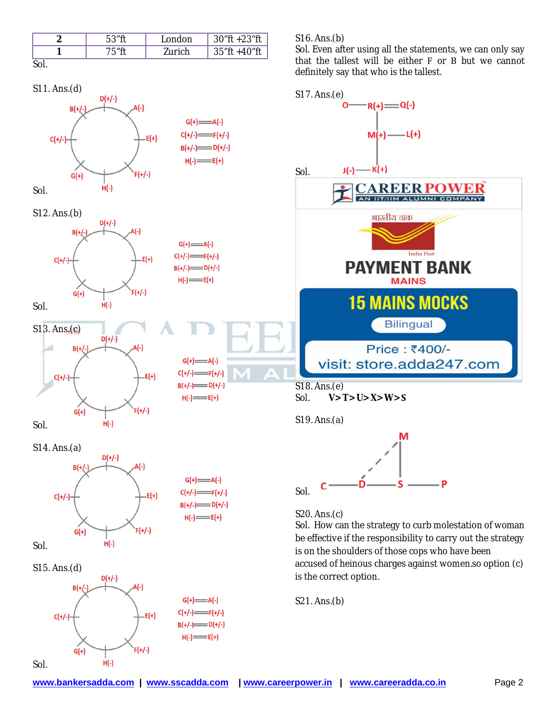|      | $53"$ ft | ondon              | 30"ft +23"ft            |
|------|----------|--------------------|-------------------------|
| ╭    | 7斥″ft    | <sup>7</sup> urich | $1.40$ "ft<br>$25$ "ft. |
| JUL. |          |                    |                         |



S15. Ans.(d)



S16. Ans.(b)

Sol. Even after using all the statements, we can only say that the tallest will be either  $F$  or  $B$  but we cannot definitely say that who is the tallest.



accused of heinous charges against women.so option (c) is the correct option.

S21. Ans.(b)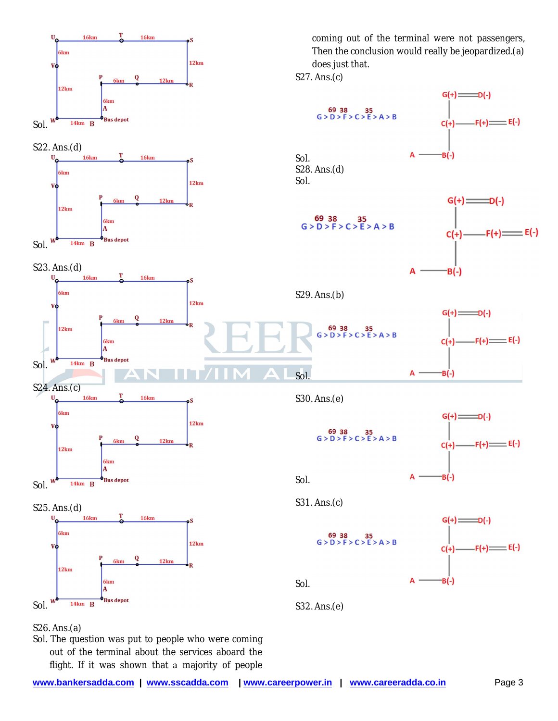

S26. Ans.(a)

Sol. The question was put to people who were coming out of the terminal about the services aboard the flight. If it was shown that a majority of people